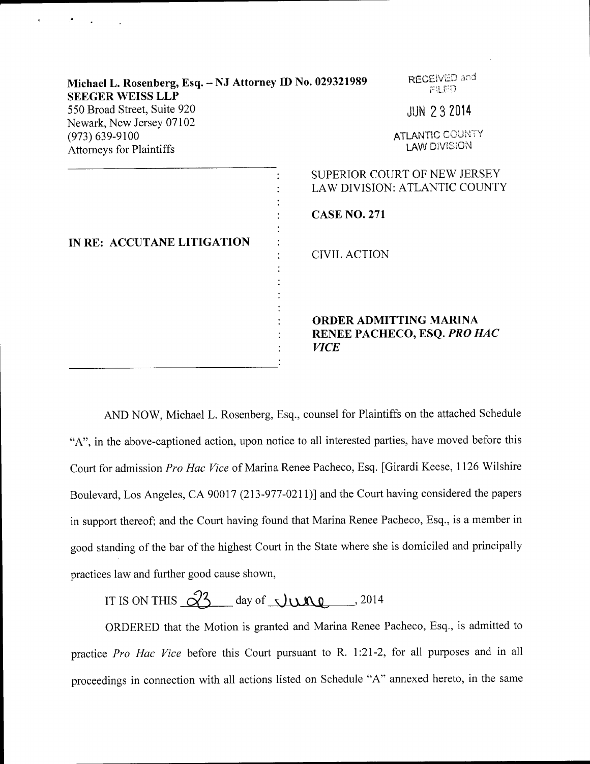| Michael L. Rosenberg, Esq. - NJ Attorney ID No. 029321989<br><b>SEEGER WEISS LLP</b> | RECEIVED and<br>FILED                                                       |
|--------------------------------------------------------------------------------------|-----------------------------------------------------------------------------|
| 550 Broad Street, Suite 920<br>Newark, New Jersey 07102                              | <b>JUN 232014</b>                                                           |
| $(973) 639 - 9100$<br><b>Attorneys for Plaintiffs</b>                                | <b>ATLANTIC COUNTY</b><br><b>LAW DIVISION</b>                               |
| IN RE: ACCUTANE LITIGATION                                                           | SUPERIOR COURT OF NEW JERSEY<br>LAW DIVISION: ATLANTIC COUNTY               |
|                                                                                      | <b>CASE NO. 271</b>                                                         |
|                                                                                      | <b>CIVIL ACTION</b>                                                         |
|                                                                                      | <b>ORDER ADMITTING MARINA</b><br>RENEE PACHECO, ESQ. PRO HAC<br><b>VICE</b> |
|                                                                                      |                                                                             |

AND NOW, Michael L. Rosenberg, Esq., counsel for Plaintiffs on the attached Schedule "A", in the above-captioned action, upon notice to all interested parties, have moved before this Court for admission Pro Hac Vice of Marina Renee Pacheco, Esq. [Girardi Keese, 1126 Wilshire Boulevard, Los Angeles, CA 90017 (213-977-0211)l and the Court having considered the papers in support thereof; and the Court having found that Marina Renee Pacheco, Esq., is a member in good standing of the bar of the highest Court in the State where she is domiciled and principally practices law and further good cause shown,

IT IS ON THIS  $\sqrt{3}$  day of  $\sqrt{100}$  , 2014

ORDERED that the Motion is granted and Marina Renee Pacheco, Esq., is admitted to practice Pro Hac Vice before this Court pursuant to R. 1:21-2, for all purposes and in all proceedings in connection with all actions listed on Schedule "A" annexed hereto, in the same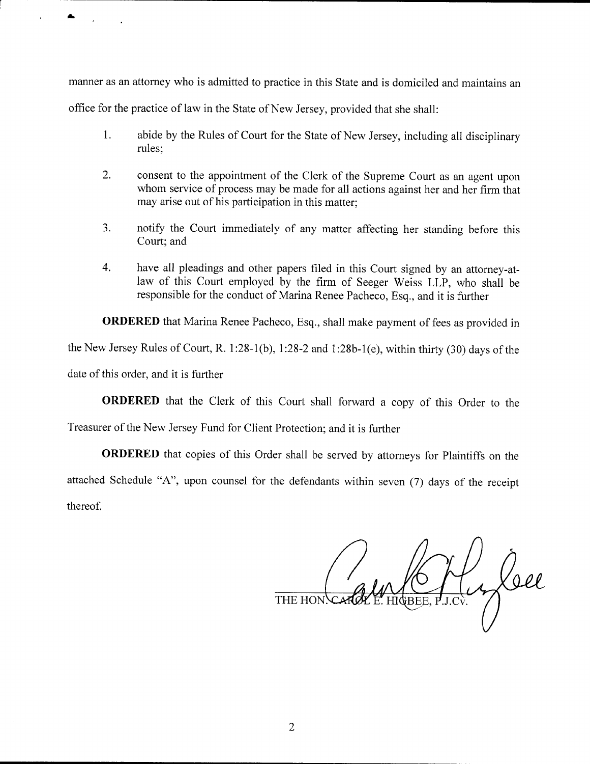manner as an attomey who is admitted to practice in this State and is domiciled and maintains an office for the practice of law in the State of New Jersey, provided that she shall:

- 1. abide by the Rules of Court for the State of New Jersey, including all disciplinary rules;
- 2. consent to the appointment of the Clerk of the Supreme Court as an agent upon whom service of process may be made for all actions against her and her firm that may arise out of his participation in this matter;
- 3. notify the Court immediately of any matter affecting her standing before this Court; and
- 4. have all pleadings and other papers filed in this Court signed by an attorney-atlaw of this Court employed by the firm of Seeger Weiss LLP, who shall be responsible for the conduct of Marina Renee Pacheco, Esq., and it is further

ORDERED that Marina Renee Pacheco, Esq., shall make payment of fees as provided in the New Jersey Rules of Court, R. 1:28-1(b), 1:28-2 and 1:28b-1(e), within thirty (30) days of the date of this order, and it is further

ORDERED that the Clerk of this Court shall forward a copy of this Order to the

Treasurer of the New Jersey Fund for client Protection; and it is further

ORDERED that copies of this Order shall be served by attorneys for Plaintiffs on the attached Schedule "A", upon counsel for the defendants within seven (7) days of the receipt thereof.

**THE HON**